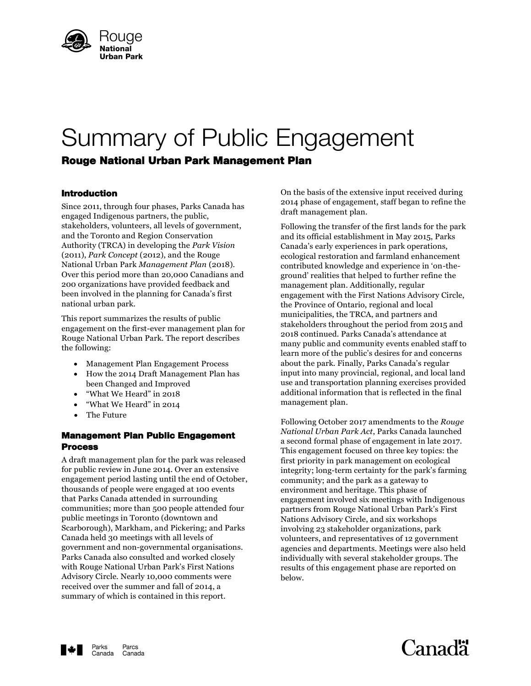

# Summary of Public Engagement

# Rouge National Urban Park Management Plan

# Introduction

Since 2011, through four phases, Parks Canada has engaged Indigenous partners, the public, stakeholders, volunteers, all levels of government, and the Toronto and Region Conservation Authority (TRCA) in developing the *Park Vision* (2011), *Park Concept* (2012), and the Rouge National Urban Park *Management Plan* (2018). Over this period more than 20,000 Canadians and 200 organizations have provided feedback and been involved in the planning for Canada's first national urban park.

This report summarizes the results of public engagement on the first-ever management plan for Rouge National Urban Park. The report describes the following:

- Management Plan Engagement Process
- How the 2014 Draft Management Plan has been Changed and Improved
- "What We Heard" in 2018
- "What We Heard" in 2014
- The Future

# Management Plan Public Engagement Process

A draft management plan for the park was released for public review in June 2014. Over an extensive engagement period lasting until the end of October, thousands of people were engaged at 100 events that Parks Canada attended in surrounding communities; more than 500 people attended four public meetings in Toronto (downtown and Scarborough), Markham, and Pickering; and Parks Canada held 30 meetings with all levels of government and non-governmental organisations. Parks Canada also consulted and worked closely with Rouge National Urban Park's First Nations Advisory Circle. Nearly 10,000 comments were received over the summer and fall of 2014, a summary of which is contained in this report.

On the basis of the extensive input received during 2014 phase of engagement, staff began to refine the draft management plan.

Following the transfer of the first lands for the park and its official establishment in May 2015, Parks Canada's early experiences in park operations, ecological restoration and farmland enhancement contributed knowledge and experience in 'on-theground' realities that helped to further refine the management plan. Additionally, regular engagement with the First Nations Advisory Circle, the Province of Ontario, regional and local municipalities, the TRCA, and partners and stakeholders throughout the period from 2015 and 2018 continued. Parks Canada's attendance at many public and community events enabled staff to learn more of the public's desires for and concerns about the park. Finally, Parks Canada's regular input into many provincial, regional, and local land use and transportation planning exercises provided additional information that is reflected in the final management plan.

Following October 2017 amendments to the *Rouge National Urban Park Act*, Parks Canada launched a second formal phase of engagement in late 2017. This engagement focused on three key topics: the first priority in park management on ecological integrity; long-term certainty for the park's farming community; and the park as a gateway to environment and heritage. This phase of engagement involved six meetings with Indigenous partners from Rouge National Urban Park's First Nations Advisory Circle, and six workshops involving 23 stakeholder organizations, park volunteers, and representatives of 12 government agencies and departments. Meetings were also held individually with several stakeholder groups. The results of this engagement phase are reported on below.



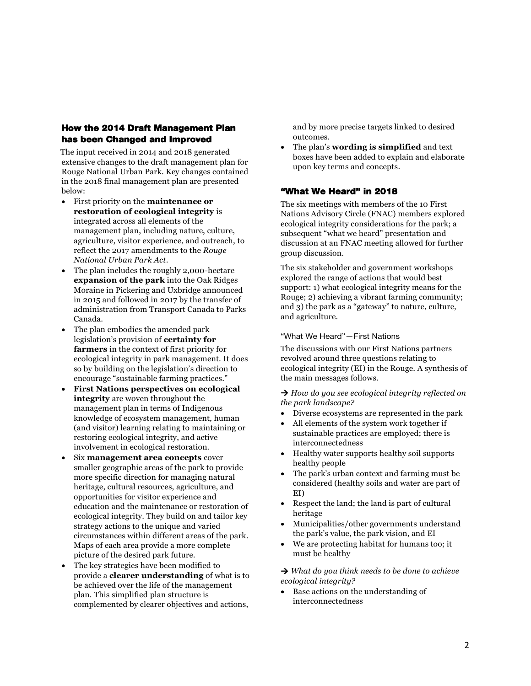# How the 2014 Draft Management Plan has been Changed and Improved

The input received in 2014 and 2018 generated extensive changes to the draft management plan for Rouge National Urban Park. Key changes contained in the 2018 final management plan are presented below:

- First priority on the **maintenance or restoration of ecological integrity** is integrated across all elements of the management plan, including nature, culture, agriculture, visitor experience, and outreach, to reflect the 2017 amendments to the *Rouge National Urban Park Act*.
- The plan includes the roughly 2,000-hectare **expansion of the park** into the Oak Ridges Moraine in Pickering and Uxbridge announced in 2015 and followed in 2017 by the transfer of administration from Transport Canada to Parks Canada.
- The plan embodies the amended park legislation's provision of **certainty for farmers** in the context of first priority for ecological integrity in park management. It does so by building on the legislation's direction to encourage "sustainable farming practices."
- **First Nations perspectives on ecological integrity** are woven throughout the management plan in terms of Indigenous knowledge of ecosystem management, human (and visitor) learning relating to maintaining or restoring ecological integrity, and active involvement in ecological restoration.
- Six **management area concepts** cover smaller geographic areas of the park to provide more specific direction for managing natural heritage, cultural resources, agriculture, and opportunities for visitor experience and education and the maintenance or restoration of ecological integrity. They build on and tailor key strategy actions to the unique and varied circumstances within different areas of the park. Maps of each area provide a more complete picture of the desired park future.
- The key strategies have been modified to provide a **clearer understanding** of what is to be achieved over the life of the management plan. This simplified plan structure is complemented by clearer objectives and actions,

and by more precise targets linked to desired outcomes.

 The plan's **wording is simplified** and text boxes have been added to explain and elaborate upon key terms and concepts.

# "What We Heard" in 2018

The six meetings with members of the 10 First Nations Advisory Circle (FNAC) members explored ecological integrity considerations for the park; a subsequent "what we heard" presentation and discussion at an FNAC meeting allowed for further group discussion.

The six stakeholder and government workshops explored the range of actions that would best support: 1) what ecological integrity means for the Rouge; 2) achieving a vibrant farming community; and 3) the park as a "gateway" to nature, culture, and agriculture.

# "What We Heard"—First Nations

The discussions with our First Nations partners revolved around three questions relating to ecological integrity (EI) in the Rouge. A synthesis of the main messages follows.

 *How do you see ecological integrity reflected on the park landscape?*

- Diverse ecosystems are represented in the park
- All elements of the system work together if sustainable practices are employed; there is interconnectedness
- Healthy water supports healthy soil supports healthy people
- The park's urban context and farming must be considered (healthy soils and water are part of EI)
- Respect the land; the land is part of cultural heritage
- Municipalities/other governments understand the park's value, the park vision, and EI
- We are protecting habitat for humans too; it must be healthy

 *What do you think needs to be done to achieve ecological integrity?*

 Base actions on the understanding of interconnectedness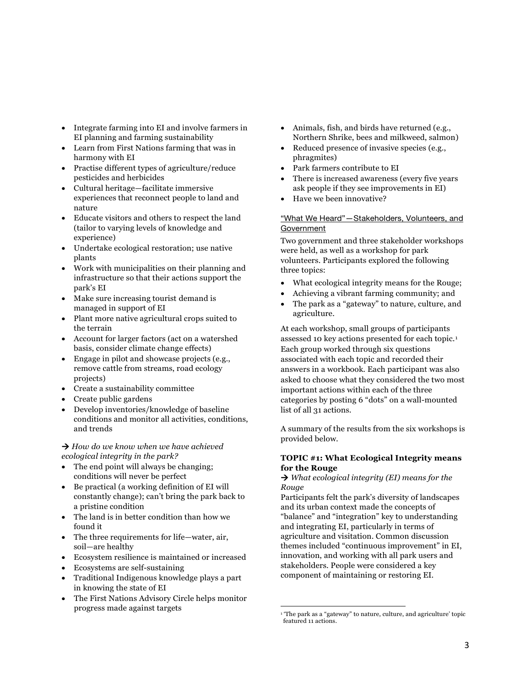- Integrate farming into EI and involve farmers in EI planning and farming sustainability
- Learn from First Nations farming that was in harmony with EI
- Practise different types of agriculture/reduce pesticides and herbicides
- Cultural heritage—facilitate immersive experiences that reconnect people to land and nature
- Educate visitors and others to respect the land (tailor to varying levels of knowledge and experience)
- Undertake ecological restoration; use native plants
- Work with municipalities on their planning and infrastructure so that their actions support the park's EI
- Make sure increasing tourist demand is managed in support of EI
- Plant more native agricultural crops suited to the terrain
- Account for larger factors (act on a watershed basis, consider climate change effects)
- Engage in pilot and showcase projects (e.g., remove cattle from streams, road ecology projects)
- Create a sustainability committee
- Create public gardens
- Develop inventories/knowledge of baseline conditions and monitor all activities, conditions, and trends

 *How do we know when we have achieved ecological integrity in the park?*

- The end point will always be changing; conditions will never be perfect
- Be practical (a working definition of EI will constantly change); can't bring the park back to a pristine condition
- The land is in better condition than how we found it
- The three requirements for life—water, air, soil—are healthy
- Ecosystem resilience is maintained or increased
- Ecosystems are self-sustaining
- Traditional Indigenous knowledge plays a part in knowing the state of EI
- The First Nations Advisory Circle helps monitor progress made against targets
- Animals, fish, and birds have returned (e.g., Northern Shrike, bees and milkweed, salmon)
- Reduced presence of invasive species (e.g., phragmites)
- Park farmers contribute to EI
- There is increased awareness (every five years ask people if they see improvements in EI)
- Have we been innovative?

#### "What We Heard"—Stakeholders, Volunteers, and Government

Two government and three stakeholder workshops were held, as well as a workshop for park volunteers. Participants explored the following three topics:

- What ecological integrity means for the Rouge;
- Achieving a vibrant farming community; and
- The park as a "gateway" to nature, culture, and agriculture.

At each workshop, small groups of participants assessed 10 key actions presented for each topic.<sup>1</sup> Each group worked through six questions associated with each topic and recorded their answers in a workbook. Each participant was also asked to choose what they considered the two most important actions within each of the three categories by posting 6 "dots" on a wall-mounted list of all 31 actions.

A summary of the results from the six workshops is provided below.

## **TOPIC #1: What Ecological Integrity means for the Rouge**

 *What ecological integrity (EI) means for the Rouge*

Participants felt the park's diversity of landscapes and its urban context made the concepts of "balance" and "integration" key to understanding and integrating EI, particularly in terms of agriculture and visitation. Common discussion themes included "continuous improvement" in EI, innovation, and working with all park users and stakeholders. People were considered a key component of maintaining or restoring EI.

 1 'The park as a "gateway" to nature, culture, and agriculture' topic featured 11 actions.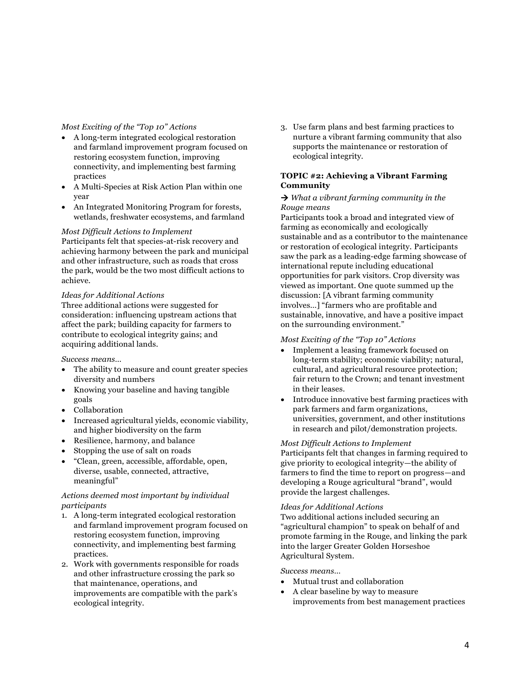#### *Most Exciting of the "Top 10" Actions*

- A long-term integrated ecological restoration and farmland improvement program focused on restoring ecosystem function, improving connectivity, and implementing best farming practices
- A Multi-Species at Risk Action Plan within one year
- An Integrated Monitoring Program for forests, wetlands, freshwater ecosystems, and farmland

#### *Most Difficult Actions to Implement*

Participants felt that species-at-risk recovery and achieving harmony between the park and municipal and other infrastructure, such as roads that cross the park, would be the two most difficult actions to achieve.

## *Ideas for Additional Actions*

Three additional actions were suggested for consideration: influencing upstream actions that affect the park; building capacity for farmers to contribute to ecological integrity gains; and acquiring additional lands.

#### *Success means…*

- The ability to measure and count greater species diversity and numbers
- Knowing your baseline and having tangible goals
- Collaboration
- Increased agricultural yields, economic viability, and higher biodiversity on the farm
- Resilience, harmony, and balance
- Stopping the use of salt on roads
- "Clean, green, accessible, affordable, open, diverse, usable, connected, attractive, meaningful"

# *Actions deemed most important by individual participants*

- 1. A long-term integrated ecological restoration and farmland improvement program focused on restoring ecosystem function, improving connectivity, and implementing best farming practices.
- 2. Work with governments responsible for roads and other infrastructure crossing the park so that maintenance, operations, and improvements are compatible with the park's ecological integrity.

3. Use farm plans and best farming practices to nurture a vibrant farming community that also supports the maintenance or restoration of ecological integrity.

# **TOPIC #2: Achieving a Vibrant Farming Community**

#### *What a vibrant farming community in the Rouge means*

Participants took a broad and integrated view of farming as economically and ecologically sustainable and as a contributor to the maintenance or restoration of ecological integrity. Participants saw the park as a leading-edge farming showcase of international repute including educational opportunities for park visitors. Crop diversity was viewed as important. One quote summed up the discussion: [A vibrant farming community involves…] "farmers who are profitable and sustainable, innovative, and have a positive impact on the surrounding environment."

# *Most Exciting of the "Top 10" Actions*

- Implement a leasing framework focused on long-term stability; economic viability; natural, cultural, and agricultural resource protection; fair return to the Crown; and tenant investment in their leases.
- Introduce innovative best farming practices with park farmers and farm organizations, universities, government, and other institutions in research and pilot/demonstration projects.

#### *Most Difficult Actions to Implement*

Participants felt that changes in farming required to give priority to ecological integrity—the ability of farmers to find the time to report on progress—and developing a Rouge agricultural "brand", would provide the largest challenges.

#### *Ideas for Additional Actions*

Two additional actions included securing an "agricultural champion" to speak on behalf of and promote farming in the Rouge, and linking the park into the larger Greater Golden Horseshoe Agricultural System.

#### *Success means…*

- Mutual trust and collaboration
- A clear baseline by way to measure improvements from best management practices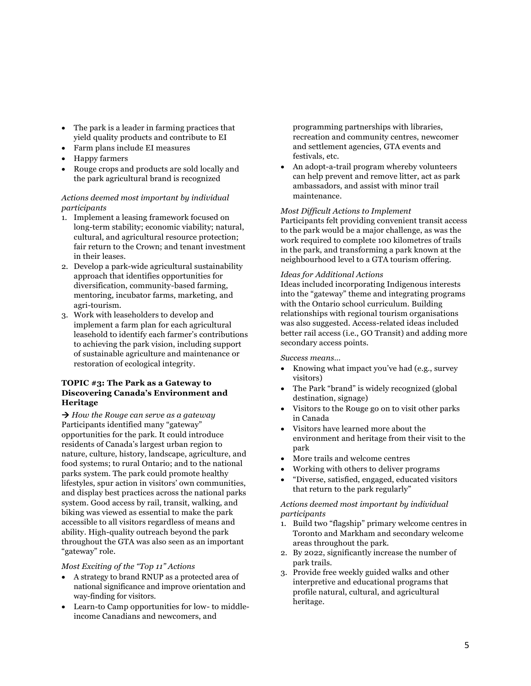- The park is a leader in farming practices that yield quality products and contribute to EI
- Farm plans include EI measures
- Happy farmers
- Rouge crops and products are sold locally and the park agricultural brand is recognized

# *Actions deemed most important by individual participants*

- 1. Implement a leasing framework focused on long-term stability; economic viability; natural, cultural, and agricultural resource protection; fair return to the Crown; and tenant investment in their leases.
- 2. Develop a park-wide agricultural sustainability approach that identifies opportunities for diversification, community-based farming, mentoring, incubator farms, marketing, and agri-tourism.
- 3. Work with leaseholders to develop and implement a farm plan for each agricultural leasehold to identify each farmer's contributions to achieving the park vision, including support of sustainable agriculture and maintenance or restoration of ecological integrity.

# **TOPIC #3: The Park as a Gateway to Discovering Canada's Environment and Heritage**

 *How the Rouge can serve as a gateway* Participants identified many "gateway" opportunities for the park. It could introduce residents of Canada's largest urban region to nature, culture, history, landscape, agriculture, and food systems; to rural Ontario; and to the national parks system. The park could promote healthy lifestyles, spur action in visitors' own communities, and display best practices across the national parks system. Good access by rail, transit, walking, and biking was viewed as essential to make the park accessible to all visitors regardless of means and ability. High-quality outreach beyond the park throughout the GTA was also seen as an important "gateway" role.

# *Most Exciting of the "Top 11" Actions*

- A strategy to brand RNUP as a protected area of national significance and improve orientation and way-finding for visitors.
- Learn-to Camp opportunities for low- to middleincome Canadians and newcomers, and

programming partnerships with libraries, recreation and community centres, newcomer and settlement agencies, GTA events and festivals, etc.

 An adopt-a-trail program whereby volunteers can help prevent and remove litter, act as park ambassadors, and assist with minor trail maintenance.

# *Most Difficult Actions to Implement*

Participants felt providing convenient transit access to the park would be a major challenge, as was the work required to complete 100 kilometres of trails in the park, and transforming a park known at the neighbourhood level to a GTA tourism offering.

#### *Ideas for Additional Actions*

Ideas included incorporating Indigenous interests into the "gateway" theme and integrating programs with the Ontario school curriculum. Building relationships with regional tourism organisations was also suggested. Access-related ideas included better rail access (i.e., GO Transit) and adding more secondary access points.

*Success means…*

- Knowing what impact you've had (e.g., survey visitors)
- The Park "brand" is widely recognized (global destination, signage)
- Visitors to the Rouge go on to visit other parks in Canada
- Visitors have learned more about the environment and heritage from their visit to the park
- More trails and welcome centres
- Working with others to deliver programs
- "Diverse, satisfied, engaged, educated visitors that return to the park regularly"

*Actions deemed most important by individual participants*

- 1. Build two "flagship" primary welcome centres in Toronto and Markham and secondary welcome areas throughout the park.
- 2. By 2022, significantly increase the number of park trails.
- 3. Provide free weekly guided walks and other interpretive and educational programs that profile natural, cultural, and agricultural heritage.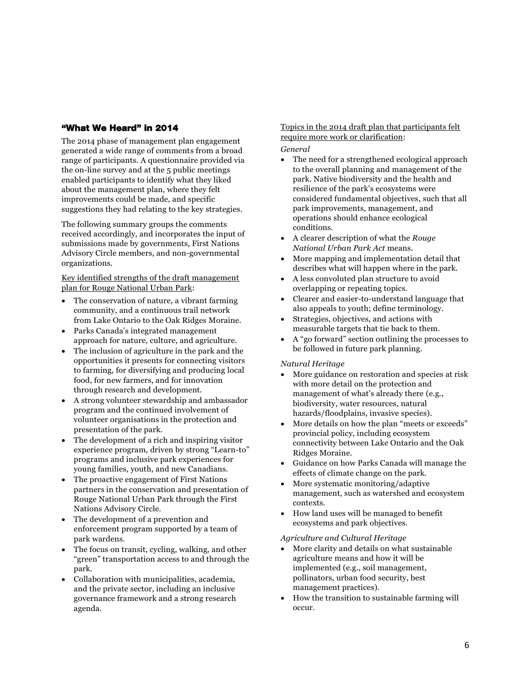# "What We Heard" in 2014

The 2014 phase of management plan engagement generated a wide range of comments from a broad range of participants. A questionnaire provided via the on-line survey and at the 5 public meetings enabled participants to identify what they liked about the management plan, where they felt improvements could be made, and specific suggestions they had relating to the key strategies.

The following summary groups the comments received accordingly, and incorporates the input of submissions made by governments, First Nations Advisory Circle members, and non-governmental organizations.

Key identified strengths of the draft management plan for Rouge National Urban Park:

- The conservation of nature, a vibrant farming community, and a continuous trail network from Lake Ontario to the Oak Ridges Moraine.
- Parks Canada's integrated management approach for nature, culture, and agriculture.
- The inclusion of agriculture in the park and the opportunities it presents for connecting visitors to farming, for diversifying and producing local food, for new farmers, and for innovation through research and development.
- A strong volunteer stewardship and ambassador program and the continued involvement of volunteer organisations in the protection and presentation of the park.
- The development of a rich and inspiring visitor experience program, driven by strong "Learn-to" programs and inclusive park experiences for young families, youth, and new Canadians.
- The proactive engagement of First Nations partners in the conservation and presentation of Rouge National Urban Park through the First Nations Advisory Circle.
- The development of a prevention and enforcement program supported by a team of park wardens.
- The focus on transit, cycling, walking, and other "green" transportation access to and through the park.
- Collaboration with municipalities, academia, and the private sector, including an inclusive governance framework and a strong research agenda.

# Topics in the 2014 draft plan that participants felt require more work or clarification:

# *General*

- The need for a strengthened ecological approach to the overall planning and management of the park. Native biodiversity and the health and resilience of the park's ecosystems were considered fundamental objectives, such that all park improvements, management, and operations should enhance ecological conditions.
- A clearer description of what the *Rouge National Urban Park Act* means.
- More mapping and implementation detail that describes what will happen where in the park.
- A less convoluted plan structure to avoid overlapping or repeating topics.
- Clearer and easier-to-understand language that also appeals to youth; define terminology.
- Strategies, objectives, and actions with measurable targets that tie back to them.
- A "go forward" section outlining the processes to be followed in future park planning.

# *Natural Heritage*

- More guidance on restoration and species at risk with more detail on the protection and management of what's already there (e.g., biodiversity, water resources, natural hazards/floodplains, invasive species).
- More details on how the plan "meets or exceeds" provincial policy, including ecosystem connectivity between Lake Ontario and the Oak Ridges Moraine.
- Guidance on how Parks Canada will manage the effects of climate change on the park.
- More systematic monitoring/adaptive management, such as watershed and ecosystem contexts.
- How land uses will be managed to benefit ecosystems and park objectives.

# *Agriculture and Cultural Heritage*

- More clarity and details on what sustainable agriculture means and how it will be implemented (e.g., soil management, pollinators, urban food security, best management practices).
- How the transition to sustainable farming will occur.